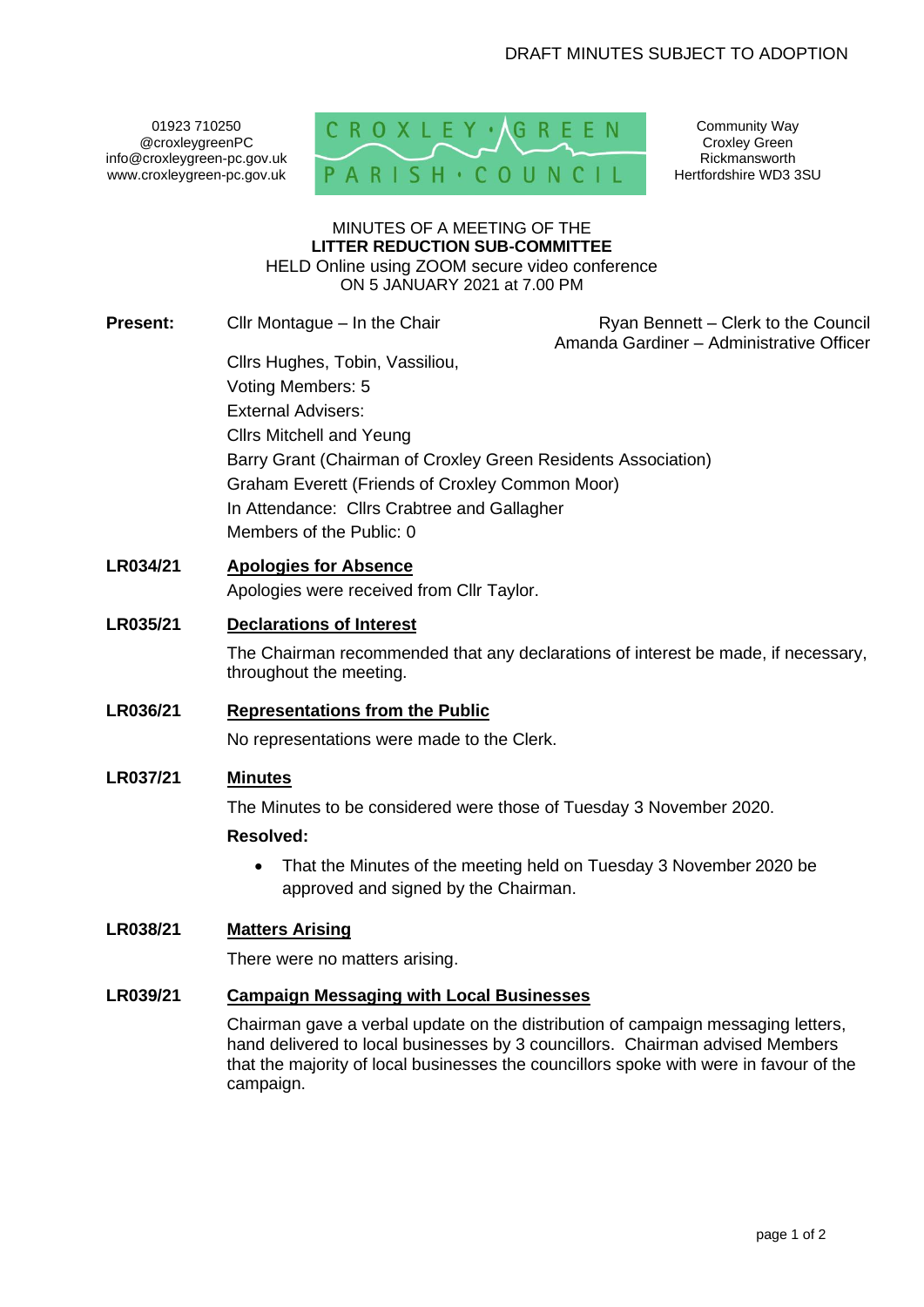01923 710250 @croxleygreenPC info@croxleygreen-pc.gov.uk www.croxleygreen-pc.gov.uk



Community Way Croxley Green Rickmansworth Hertfordshire WD3 3SU

#### MINUTES OF A MEETING OF THE **LITTER REDUCTION SUB-COMMITTEE** HELD Online using ZOOM secure video conference ON 5 JANUARY 2021 at 7.00 PM

**Present:** Cllr Montague – In the Chair Ryan Bennett – Clerk to the Council

Amanda Gardiner – Administrative Officer

Cllrs Hughes, Tobin, Vassiliou, Voting Members: 5 External Advisers: Cllrs Mitchell and Yeung Barry Grant (Chairman of Croxley Green Residents Association) Graham Everett (Friends of Croxley Common Moor) In Attendance: Cllrs Crabtree and Gallagher Members of the Public: 0

## **LR034/21 Apologies for Absence**

Apologies were received from Cllr Taylor.

## **LR035/21 Declarations of Interest**

The Chairman recommended that any declarations of interest be made, if necessary, throughout the meeting.

### **LR036/21 Representations from the Public**

No representations were made to the Clerk.

## **LR037/21 Minutes**

The Minutes to be considered were those of Tuesday 3 November 2020.

### **Resolved:**

• That the Minutes of the meeting held on Tuesday 3 November 2020 be approved and signed by the Chairman.

# **LR038/21 Matters Arising**

There were no matters arising.

## **LR039/21 Campaign Messaging with Local Businesses**

Chairman gave a verbal update on the distribution of campaign messaging letters, hand delivered to local businesses by 3 councillors. Chairman advised Members that the majority of local businesses the councillors spoke with were in favour of the campaign.